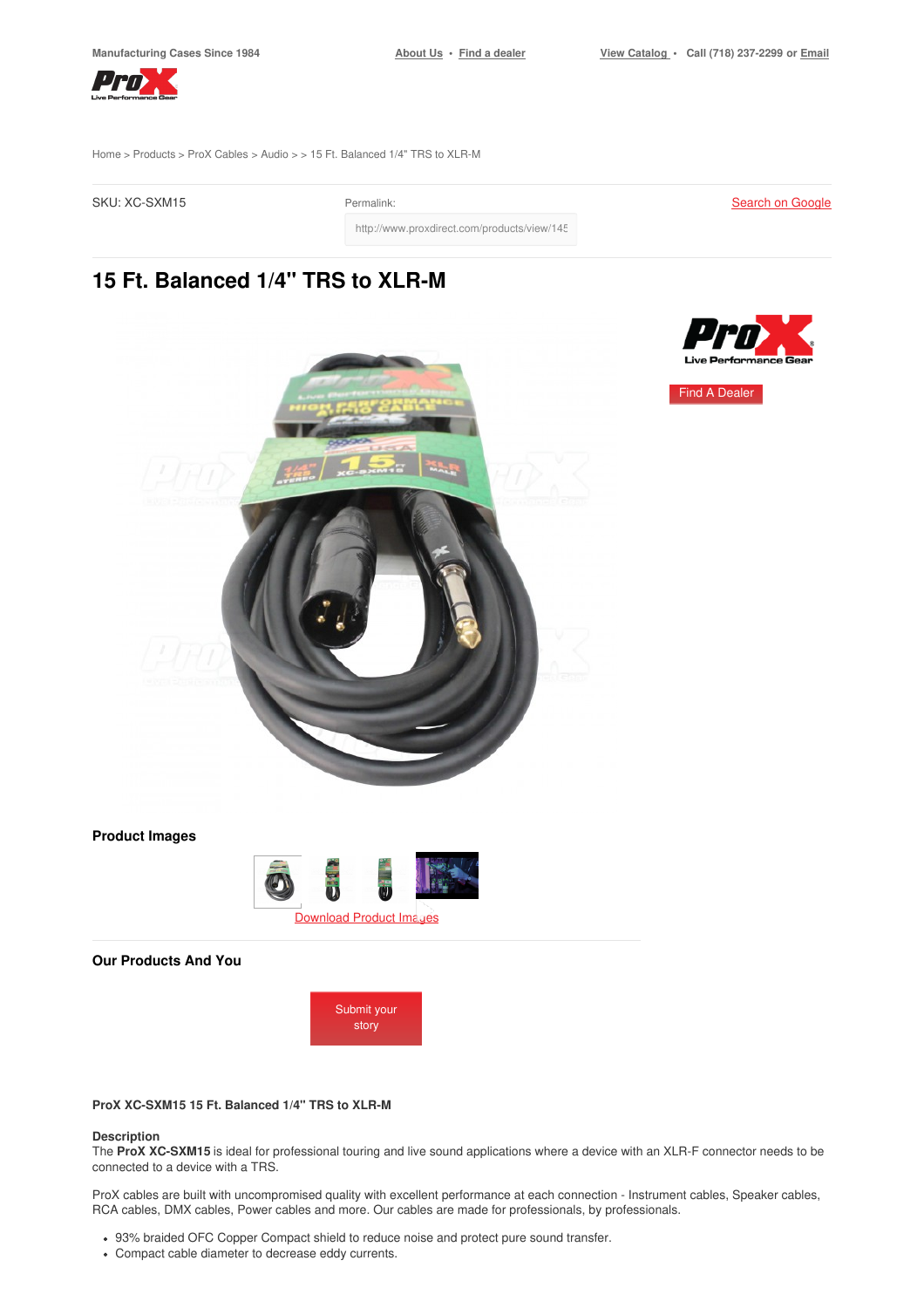Find A [Dealer](https://www.proxdirect.com/dealer/locator/)



[Home](https://www.proxdirect.com/) > [Products](https://www.proxdirect.com/products/) > ProX [Cables](https://www.proxdirect.com/products/browse/category/ProX-Cables) > [Audio](https://www.proxdirect.com/products/browse/category/Audio) > > 15 Ft. Balanced 1/4" TRS to XLR-M

SKU: XC-SXM15 Permalink:

**Search on [Google](https://www.google.com/search?q=XC-SXM15)** 

http://www.proxdirect.com/products/view/145

# **15 Ft. Balanced 1/4" TRS to XLR-M**



**Product Images**



**Our Products And You**



## **ProX XC-SXM15 15 Ft. Balanced 1/4" TRS to XLR-M**

#### **Description**

The **ProX XC-SXM15** is ideal for professional touring and live sound applications where a device with an XLR-F connector needs to be connected to a device with a TRS.

ProX cables are built with uncompromised quality with excellent performance at each connection - Instrument cables, Speaker cables, RCA cables, DMX cables, Power cables and more. Our cables are made for professionals, by professionals.

- 93% braided OFC Copper Compact shield to reduce noise and protect pure sound transfer.
- Compact cable diameter to decrease eddy currents.